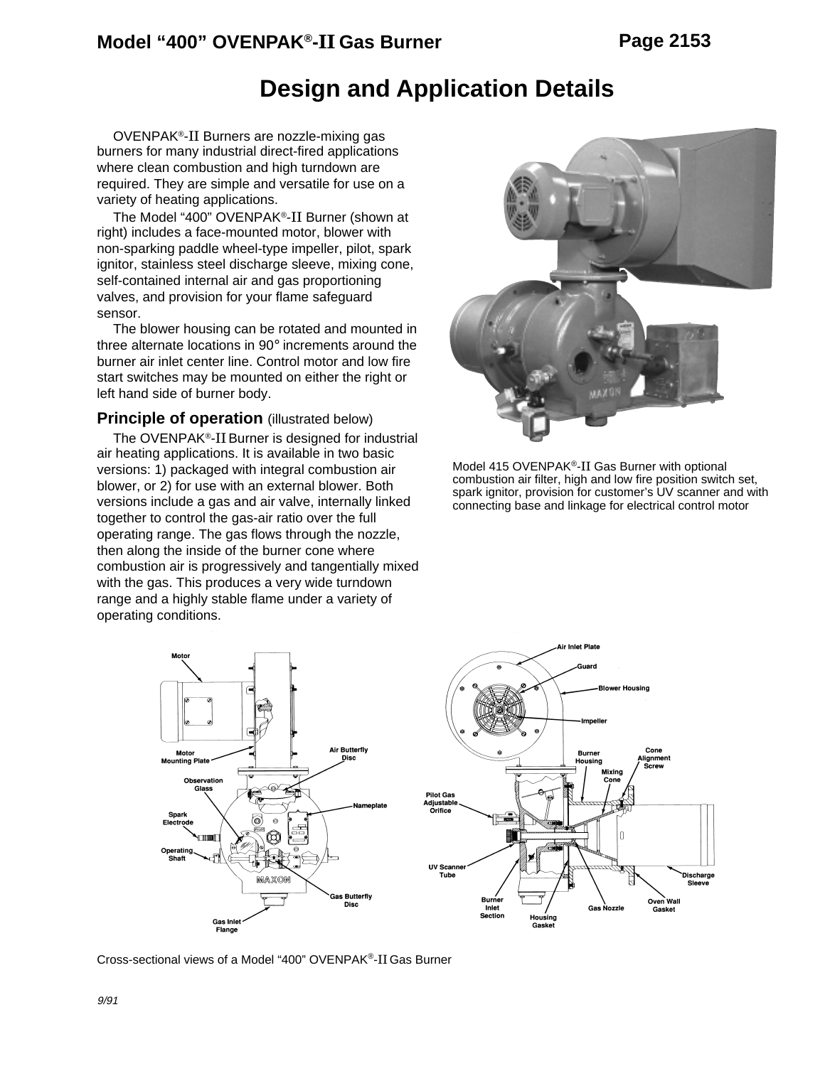### **Design and Application Details**

OVENPAK®-II Burners are nozzle-mixing gas burners for many industrial direct-fired applications where clean combustion and high turndown are required. They are simple and versatile for use on a variety of heating applications.

The Model "400" OVENPAK®-II Burner (shown at right) includes a face-mounted motor, blower with non-sparking paddle wheel-type impeller, pilot, spark ignitor, stainless steel discharge sleeve, mixing cone, self-contained internal air and gas proportioning valves, and provision for your flame safeguard sensor.

The blower housing can be rotated and mounted in three alternate locations in 90° increments around the burner air inlet center line. Control motor and low fire start switches may be mounted on either the right or left hand side of burner body.

#### **Principle of operation** (illustrated below)

The OVENPAK<sup>®</sup>-II Burner is designed for industrial air heating applications. It is available in two basic versions: 1) packaged with integral combustion air blower, or 2) for use with an external blower. Both versions include a gas and air valve, internally linked together to control the gas-air ratio over the full operating range. The gas flows through the nozzle, then along the inside of the burner cone where combustion air is progressively and tangentially mixed with the gas. This produces a very wide turndown range and a highly stable flame under a variety of operating conditions.



Model 415 OVENPAK®-II Gas Burner with optional combustion air filter, high and low fire position switch set, spark ignitor, provision for customer's UV scanner and with connecting base and linkage for electrical control motor



Cross-sectional views of a Model "400" OVENPAK®-II Gas Burner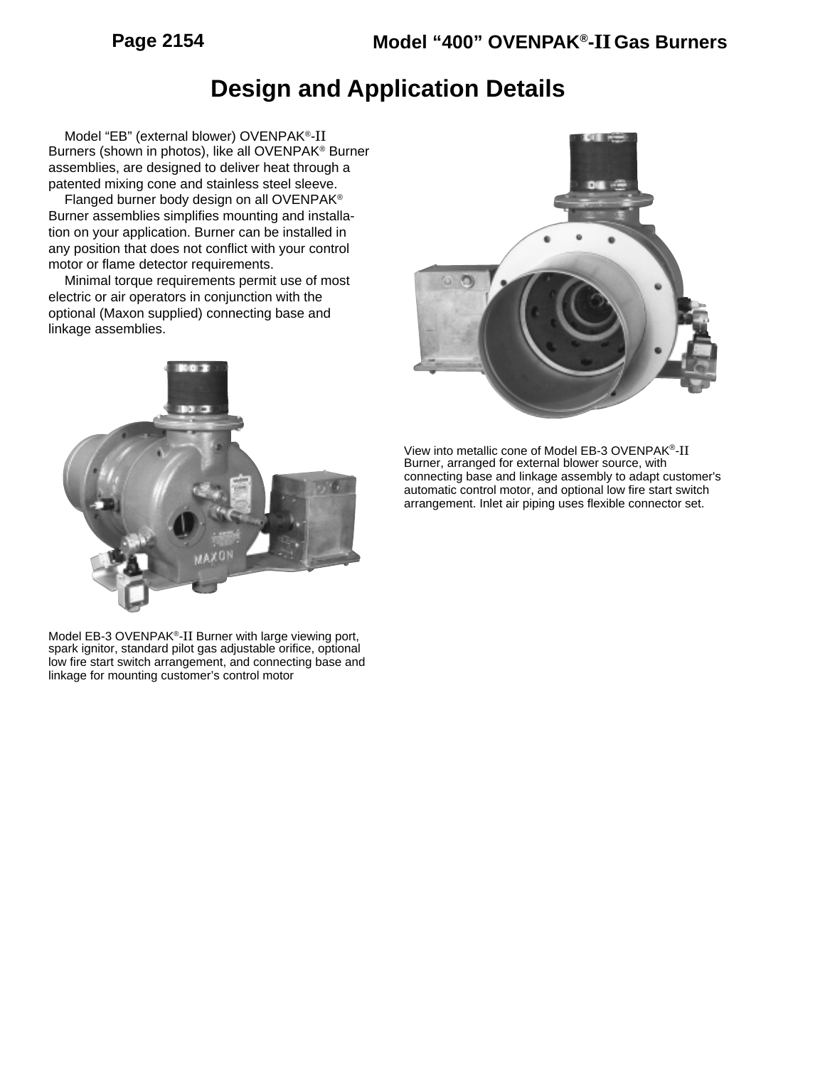# **Design and Application Details**

Model "EB" (external blower) OVENPAK®-II Burners (shown in photos), like all OVENPAK® Burner assemblies, are designed to deliver heat through a patented mixing cone and stainless steel sleeve.

Flanged burner body design on all OVENPAK® Burner assemblies simplifies mounting and installation on your application. Burner can be installed in any position that does not conflict with your control motor or flame detector requirements.

Minimal torque requirements permit use of most electric or air operators in conjunction with the optional (Maxon supplied) connecting base and linkage assemblies.



View into metallic cone of Model EB-3 OVENPAK®-II Burner, arranged for external blower source, with connecting base and linkage assembly to adapt customer's automatic control motor, and optional low fire start switch arrangement. Inlet air piping uses flexible connector set.

Model EB-3 OVENPAK®-II Burner with large viewing port, spark ignitor, standard pilot gas adjustable orifice, optional low fire start switch arrangement, and connecting base and linkage for mounting customer's control motor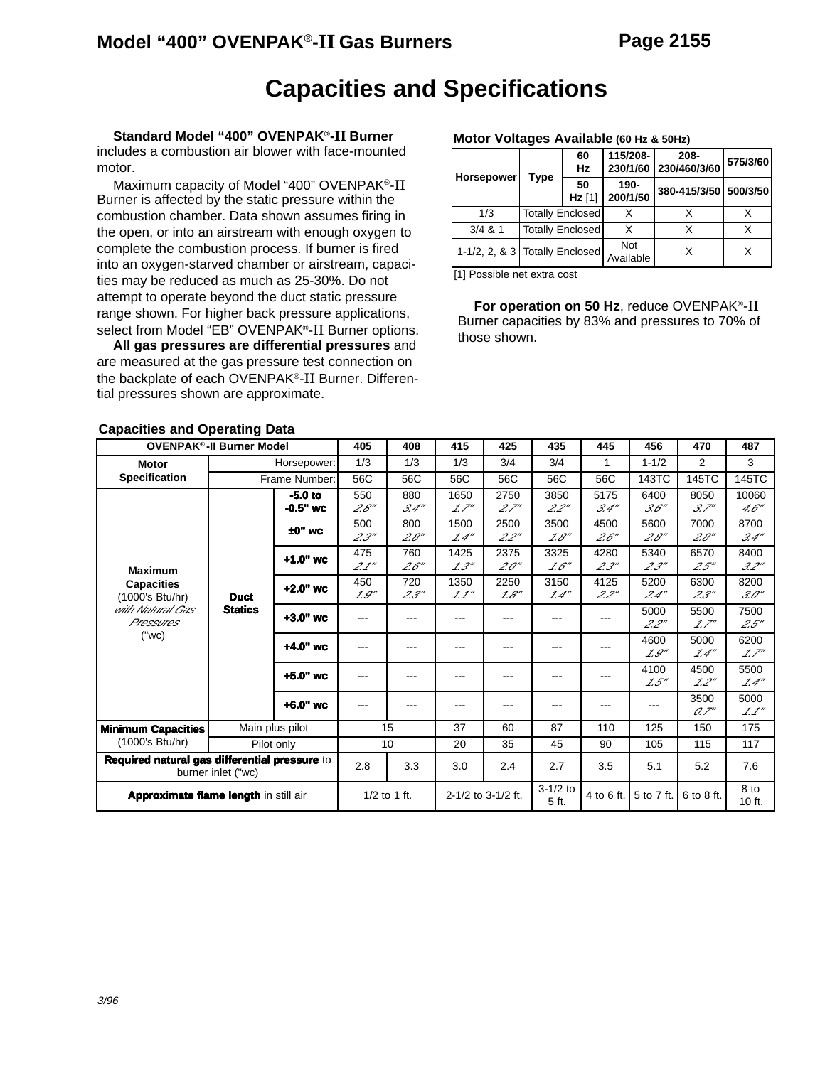### **Capacities and Specifications**

**Standard Model "400" OVENPAK®-II Burner** includes a combustion air blower with face-mounted motor.

Maximum capacity of Model "400" OVENPAK®-II Burner is affected by the static pressure within the combustion chamber. Data shown assumes firing in the open, or into an airstream with enough oxygen to complete the combustion process. If burner is fired into an oxygen-starved chamber or airstream, capacities may be reduced as much as 25-30%. Do not attempt to operate beyond the duct static pressure range shown. For higher back pressure applications, select from Model "EB" OVENPAK®-II Burner options.

**All gas pressures are differential pressures** and are measured at the gas pressure test connection on the backplate of each OVENPAK®-II Burner. Differential pressures shown are approximate.

#### **Motor Voltages Available (60 Hz & 50Hz)**

|                                  |      | 60                      | 115/208-         | $208 -$               | 575/3/60 |
|----------------------------------|------|-------------------------|------------------|-----------------------|----------|
| <b>Horsepower</b>                | Type | <b>Hz</b>               |                  | 230/1/60 230/460/3/60 |          |
|                                  |      | 50<br>$Hz$ [1]          | 190-<br>200/1/50 | 380-415/3/50 500/3/50 |          |
| 1/3                              |      | <b>Totally Enclosed</b> |                  |                       |          |
| $3/4$ & 1                        |      | <b>Totally Enclosed</b> |                  |                       |          |
| 1-1/2, 2, & 3   Totally Enclosed |      |                         | Not<br>Available |                       | x        |

[1] Possible net extra cost

**For operation on 50 Hz**, reduce OVENPAK®-II Burner capacities by 83% and pressures to 70% of those shown.

| <b>OVENPAK<sup>®</sup>-II Burner Model</b>                          |                | 405             | 408            | 415   | 425                | 435                 | 445        | 456        | 470        | 487              |       |       |       |
|---------------------------------------------------------------------|----------------|-----------------|----------------|-------|--------------------|---------------------|------------|------------|------------|------------------|-------|-------|-------|
|                                                                     |                |                 |                |       |                    |                     |            |            |            |                  |       |       |       |
| <b>Motor</b>                                                        |                | Horsepower:     | 1/3<br>56C     | 1/3   | 1/3                | 3/4                 | 3/4        | 1          | $1 - 1/2$  | 2                | 3     |       |       |
| <b>Specification</b>                                                |                | Frame Number:   |                | 56C   | 56C                | 56C                 | 56C        | 56C        | 143TC      | 145TC            | 145TC |       |       |
|                                                                     |                | $-5.0$ to       | 550            | 880   | 1650               | 2750                | 3850       | 5175       | 6400       | 8050             | 10060 |       |       |
|                                                                     |                | $-0.5"$ wc      | 2.8"           | 3.4'' | 1.7''              | 2.7''               | 2.2''      | 3.4''      | 3.6''      | 3.7''            | 4.6'' |       |       |
|                                                                     |                | $±0"$ wc        | 500            | 800   | 1500               | 2500                | 3500       | 4500       | 5600       | 7000             | 8700  |       |       |
|                                                                     |                |                 | 2.3''          | 2.8'' | 1.4''              | 2.2"                | 1.8''      | 2.6''      | 2.8''      | 2.8''            | 3.4'' |       |       |
|                                                                     |                | $+1.0"$ wc      | 475            | 760   | 1425               | 2375                | 3325       | 4280       | 5340       | 6570             | 8400  |       |       |
| <b>Maximum</b>                                                      |                |                 | 2.1''          | 2.6'' | 1.3''              | 20''                | 1.6''      | 23''       | 2.3''      | 2.5''            | 3.2'' |       |       |
| <b>Capacities</b>                                                   |                |                 | 450            | 720   | 1350               | 2250                | 3150       | 4125       | 5200       | 6300             | 8200  |       |       |
| (1000's Btu/hr)                                                     | <b>Duct</b>    | $+2.0"$ wc      | 1.9''          | 2.3'' | 1.1''              | 1.8''               | 1.4''      | 2.2''      | 2.4"       | 2.3''            | 3.0'' |       |       |
| with Natural Gas                                                    | <b>Statics</b> | $+3.0"$ wc      | $---$          |       | ---                |                     | ---        |            | 5000       | 5500             | 7500  |       |       |
| Pressures                                                           |                |                 |                |       |                    | ---                 |            | ---        | 2.2"       | 1.7''            | 2.5'' |       |       |
| ("wc)                                                               |                | $+4.0"$ wc      | ---            | ---   | ---                | ---                 | $- - -$    | ---        | 4600       | 5000             | 6200  |       |       |
|                                                                     |                |                 |                |       |                    |                     |            |            |            |                  | 1.9'' | 1.4'' | 1.7'' |
|                                                                     |                | $+5.0"$ wc      | ---            | ---   | ---                | ---                 | $--$       | ---        | 4100       | 4500             | 5500  |       |       |
|                                                                     |                |                 |                |       |                    |                     |            |            | 1.5''      | 1.2''            | 1.4'' |       |       |
|                                                                     |                | $+6.0"$ wc      | $---$          | ---   | ---                | ---                 | ---        | ---        | ---        | 3500             | 5000  |       |       |
|                                                                     |                |                 |                |       |                    |                     |            |            |            | 0.7''            | 1.1'' |       |       |
| <b>Minimum Capacities</b>                                           |                | Main plus pilot |                | 15    | 37                 | 60                  | 87         | 110        | 125        | 150              | 175   |       |       |
| (1000's Btu/hr)                                                     | Pilot only     |                 |                | 10    | 20                 | 35                  | 45         | 90         | 105        | 115              | 117   |       |       |
| Required natural gas differential pressure to<br>burner inlet ("wc) |                | 2.8             | 3.3            | 3.0   | 2.4                | 2.7                 | 3.5        | 5.1        | 5.2        | 7.6              |       |       |       |
| Approximate flame length in still air                               |                |                 | $1/2$ to 1 ft. |       | 2-1/2 to 3-1/2 ft. | $3-1/2$ to<br>5 ft. | 4 to 6 ft. | 5 to 7 ft. | 6 to 8 ft. | 8 to<br>$10$ ft. |       |       |       |

#### **Capacities and Operating Data**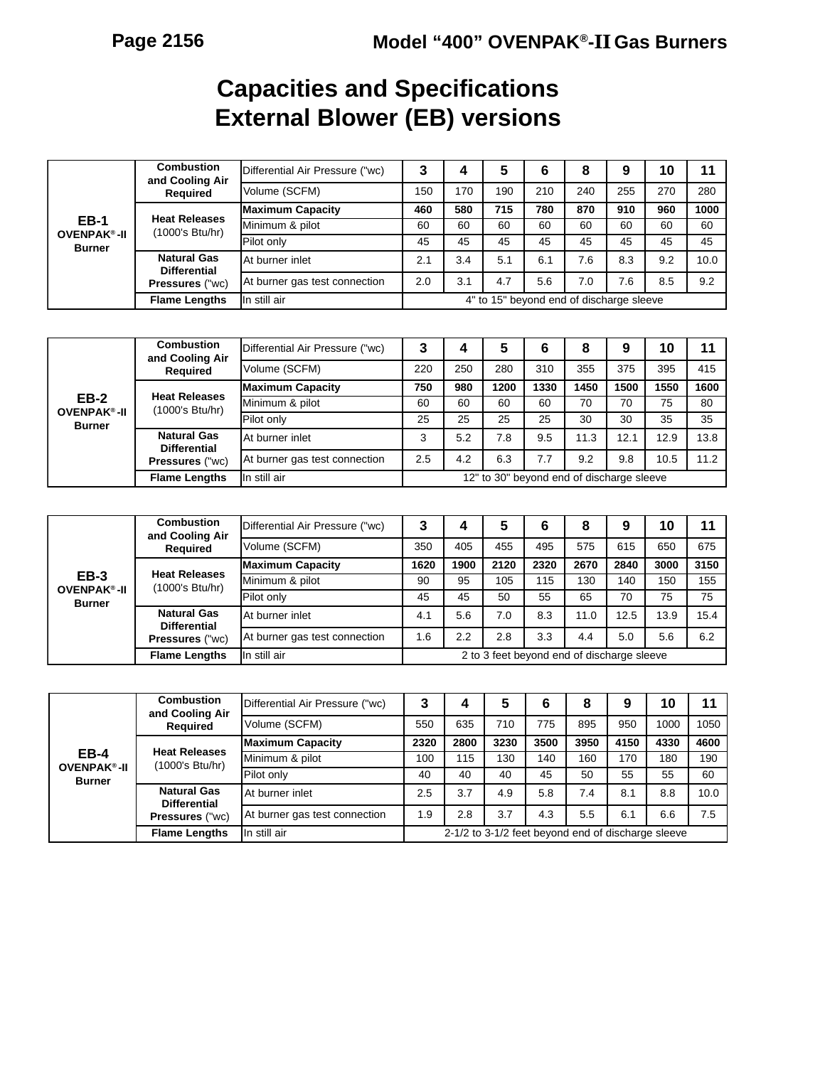# **Capacities and Specifications External Blower (EB) versions**

|                                              | <b>Combustion</b><br>and Cooling Air      | Differential Air Pressure ("wc) | 3                                        | 4   | 5   | 6   | 8   | 9   | 10  | 11   |
|----------------------------------------------|-------------------------------------------|---------------------------------|------------------------------------------|-----|-----|-----|-----|-----|-----|------|
|                                              | Required                                  | Volume (SCFM)                   | 150                                      | 170 | 190 | 210 | 240 | 255 | 270 | 280  |
|                                              |                                           | <b>Maximum Capacity</b>         | 460                                      | 580 | 715 | 780 | 870 | 910 | 960 | 1000 |
| <b>EB-1</b><br><b>OVENPAK<sup>®</sup>-II</b> | <b>Heat Releases</b><br>(1000's Btu/hr)   | Minimum & pilot                 | 60                                       | 60  | 60  | 60  | 60  | 60  | 60  | 60   |
| <b>Burner</b>                                |                                           | Pilot only                      | 45                                       | 45  | 45  | 45  | 45  | 45  | 45  | 45   |
|                                              | <b>Natural Gas</b><br><b>Differential</b> | At burner inlet                 | 2.1                                      | 3.4 | 5.1 | 6.1 | 7.6 | 8.3 | 9.2 | 10.0 |
|                                              | <b>Pressures ("wc)</b>                    | At burner gas test connection   | 2.0                                      | 3.1 | 4.7 | 5.6 | 7.0 | 7.6 | 8.5 | 9.2  |
|                                              | <b>Flame Lengths</b>                      | In still air                    | 4" to 15" beyond end of discharge sleeve |     |     |     |     |     |     |      |
|                                              |                                           |                                 |                                          |     |     |     |     |     |     |      |

|                                              | <b>Combustion</b><br>and Cooling Air      | Differential Air Pressure ("wc) |                                           | 4   | 5    | 6    | 8    | 9    | 10   | 11   |
|----------------------------------------------|-------------------------------------------|---------------------------------|-------------------------------------------|-----|------|------|------|------|------|------|
|                                              | <b>Required</b>                           | Volume (SCFM)                   | 220                                       | 250 | 280  | 310  | 355  | 375  | 395  | 415  |
|                                              |                                           | <b>Maximum Capacity</b>         | 750                                       | 980 | 1200 | 1330 | 1450 | 1500 | 1550 | 1600 |
| <b>EB-2</b><br><b>OVENPAK<sup>®</sup>-II</b> | <b>Heat Releases</b><br>(1000's Btu/hr)   | Minimum & pilot                 | 60                                        | 60  | 60   | 60   | 70   | 70   | 75   | 80   |
| <b>Burner</b>                                |                                           | Pilot only                      | 25                                        | 25  | 25   | 25   | 30   | 30   | 35   | 35   |
|                                              | <b>Natural Gas</b><br><b>Differential</b> | At burner inlet                 | 3                                         | 5.2 | 7.8  | 9.5  | 11.3 | 12.1 | 12.9 | 13.8 |
|                                              | <b>Pressures ("wc)</b>                    | At burner gas test connection   | 2.5                                       | 4.2 | 6.3  | 7.7  | 9.2  | 9.8  | 10.5 | 11.2 |
|                                              | <b>Flame Lengths</b>                      | In still air                    | 12" to 30" beyond end of discharge sleeve |     |      |      |      |      |      |      |

|                                         | <b>Combustion</b><br>and Cooling Air      | Differential Air Pressure ("wc) | າ                                          | 4    | 5    | 6    | 8    |      | 10   | 11   |
|-----------------------------------------|-------------------------------------------|---------------------------------|--------------------------------------------|------|------|------|------|------|------|------|
|                                         | <b>Required</b>                           | Volume (SCFM)                   | 350                                        | 405  | 455  | 495  | 575  | 615  | 650  | 675  |
|                                         |                                           | <b>Maximum Capacity</b>         | 1620                                       | 1900 | 2120 | 2320 | 2670 | 2840 | 3000 | 3150 |
| $EB-3$<br><b>OVENPAK<sup>®</sup>-II</b> | <b>Heat Releases</b><br>(1000's Btu/hr)   | Minimum & pilot                 | 90                                         | 95   | 105  | 115  | 130  | 140  | 150  | 155  |
| Burner                                  |                                           | Pilot only                      | 45                                         | 45   | 50   | 55   | 65   | 70   | 75   | 75   |
|                                         | <b>Natural Gas</b><br><b>Differential</b> | At burner inlet                 | 4.1                                        | 5.6  | 7.0  | 8.3  | 11.0 | 12.5 | 13.9 | 15.4 |
|                                         | Pressures ("wc)                           | At burner gas test connection   | 1.6                                        | 2.2  | 2.8  | 3.3  | 4.4  | 5.0  | 5.6  | 6.2  |
|                                         | <b>Flame Lengths</b>                      | In still air                    | 2 to 3 feet beyond end of discharge sleeve |      |      |      |      |      |      |      |

|                                              | <b>Combustion</b><br>and Cooling Air      | Differential Air Pressure ("wc) | 3                                                  | 4    | 5    | 6    | 8    | 9    | 10   | 11   |
|----------------------------------------------|-------------------------------------------|---------------------------------|----------------------------------------------------|------|------|------|------|------|------|------|
|                                              | Required                                  | Volume (SCFM)                   | 550                                                | 635  | 710  | 775  | 895  | 950  | 1000 | 1050 |
|                                              |                                           | <b>Maximum Capacity</b>         | 2320                                               | 2800 | 3230 | 3500 | 3950 | 4150 | 4330 | 4600 |
| <b>EB-4</b><br><b>OVENPAK<sup>®</sup>-II</b> | <b>Heat Releases</b><br>(1000's Btu/hr)   | Minimum & pilot                 | 100                                                | 115  | 130  | 140  | 160  | 170  | 180  | 190  |
| <b>Burner</b>                                |                                           | <b>Pilot only</b>               | 40                                                 | 40   | 40   | 45   | 50   | 55   | 55   | 60   |
|                                              | <b>Natural Gas</b><br><b>Differential</b> | At burner inlet                 | 2.5                                                | 3.7  | 4.9  | 5.8  | 7.4  | 8.1  | 8.8  | 10.0 |
|                                              | <b>Pressures ("wc)</b>                    | At burner gas test connection   | 1.9                                                | 2.8  | 3.7  | 4.3  | 5.5  | 6.1  | 6.6  | 7.5  |
|                                              | <b>Flame Lengths</b>                      | In still air                    | 2-1/2 to 3-1/2 feet beyond end of discharge sleeve |      |      |      |      |      |      |      |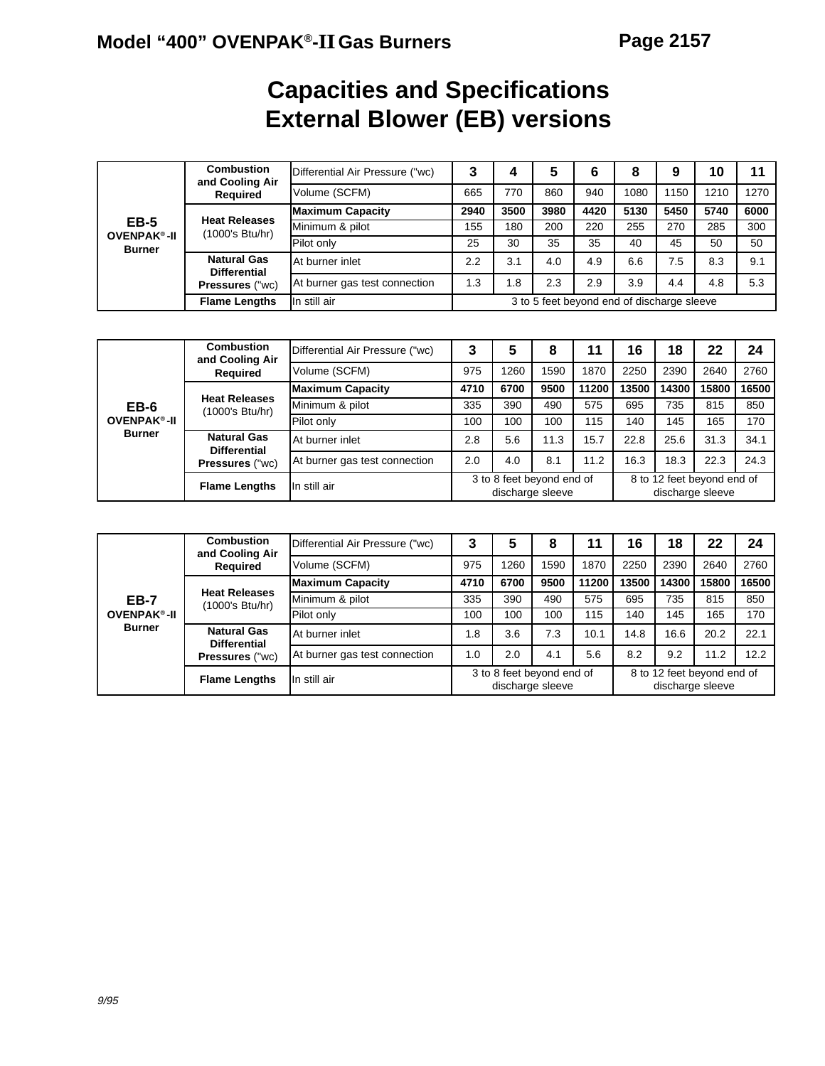# **Capacities and Specifications External Blower (EB) versions**

|                                   | <b>Combustion</b><br>and Cooling Air      | Differential Air Pressure ("wc) | 3                                          | 4    | 5    | 6    | 8    | 9    | 10   |      |
|-----------------------------------|-------------------------------------------|---------------------------------|--------------------------------------------|------|------|------|------|------|------|------|
|                                   | <b>Required</b>                           | Volume (SCFM)                   | 665                                        | 770  | 860  | 940  | 1080 | 150  | 1210 | 1270 |
|                                   |                                           | <b>Maximum Capacity</b>         | 2940                                       | 3500 | 3980 | 4420 | 5130 | 5450 | 5740 | 6000 |
| <b>EB-5</b><br><b>OVENPAK®-II</b> | <b>Heat Releases</b><br>(1000's Btu/hr)   | Minimum & pilot                 | 155                                        | 180  | 200  | 220  | 255  | 270  | 285  | 300  |
| <b>Burner</b>                     |                                           | <b>Pilot only</b>               | 25                                         | 30   | 35   | 35   | 40   | 45   | 50   | 50   |
|                                   | <b>Natural Gas</b><br><b>Differential</b> | At burner inlet                 | 2.2                                        | 3.1  | 4.0  | 4.9  | 6.6  | 7.5  | 8.3  | 9.1  |
|                                   | <b>Pressures ("wc)</b>                    | At burner gas test connection   | 1.3                                        | 1.8  | 2.3  | 2.9  | 3.9  | 4.4  | 4.8  | 5.3  |
|                                   | <b>Flame Lengths</b>                      | In still air                    | 3 to 5 feet beyond end of discharge sleeve |      |      |      |      |      |      |      |

|                    | Combustion<br>and Cooling Air             | Differential Air Pressure ("wc) | 3    | 5                                             | 8    |       | 16                                             | 18    | 22    | 24    |
|--------------------|-------------------------------------------|---------------------------------|------|-----------------------------------------------|------|-------|------------------------------------------------|-------|-------|-------|
|                    | <b>Required</b>                           | Volume (SCFM)                   | 975  | 1260                                          | 1590 | 1870  | 2250                                           | 2390  | 2640  | 2760  |
|                    |                                           | <b>Maximum Capacity</b>         | 4710 | 6700                                          | 9500 | 11200 | 13500                                          | 14300 | 15800 | 16500 |
| EB-6               | <b>Heat Releases</b><br>(1000's Btu/hr)   | Minimum & pilot                 | 335  | 390                                           | 490  | 575   | 695                                            | 735   | 815   | 850   |
| <b>OVENPAK®-II</b> |                                           | Pilot only                      | 100  | 100                                           | 100  | 115   | 140                                            | 145   | 165   | 170   |
| <b>Burner</b>      | <b>Natural Gas</b><br><b>Differential</b> | At burner inlet                 | 2.8  | 5.6                                           | 11.3 | 15.7  | 22.8                                           | 25.6  | 31.3  | 34.1  |
|                    | <b>Pressures ("wc)</b>                    | At burner gas test connection   | 2.0  | 4.0                                           | 8.1  | 11.2  | 16.3                                           | 18.3  | 22.3  | 24.3  |
|                    | <b>Flame Lengths</b>                      | In still air                    |      | 3 to 8 feet beyond end of<br>discharge sleeve |      |       | 8 to 12 feet beyond end of<br>discharge sleeve |       |       |       |

|                               | <b>Combustion</b><br>and Cooling Air      | Differential Air Pressure ("wc) | 3                                             | 5    | 8    |       | 16    | 18    | 22                                             | 24    |
|-------------------------------|-------------------------------------------|---------------------------------|-----------------------------------------------|------|------|-------|-------|-------|------------------------------------------------|-------|
|                               | <b>Required</b>                           | Volume (SCFM)                   | 975                                           | 1260 | 1590 | 1870  | 2250  | 2390  | 2640                                           | 2760  |
|                               |                                           | <b>Maximum Capacity</b>         | 4710                                          | 6700 | 9500 | 11200 | 13500 | 14300 | 15800                                          | 16500 |
| <b>EB-7</b>                   | <b>Heat Releases</b><br>(1000's Btu/hr)   | Minimum & pilot                 | 335                                           | 390  | 490  | 575   | 695   | 735   | 815                                            | 850   |
| <b>OVENPAK<sup>®</sup>-II</b> |                                           | Pilot only                      | 100                                           | 100  | 100  | 115   | 140   | 145   | 165                                            | 170   |
| <b>Burner</b>                 | <b>Natural Gas</b><br><b>Differential</b> | <b>At burner inlet</b>          | 1.8                                           | 3.6  | 7.3  | 10.1  | 14.8  | 16.6  | 20.2                                           | 22.1  |
|                               | <b>Pressures ("wc)</b>                    | At burner gas test connection   | 1.0                                           | 2.0  | 4.1  | 5.6   | 8.2   | 9.2   | 11.2                                           | 12.2  |
|                               | In still air<br><b>Flame Lengths</b>      |                                 | 3 to 8 feet beyond end of<br>discharge sleeve |      |      |       |       |       | 8 to 12 feet beyond end of<br>discharge sleeve |       |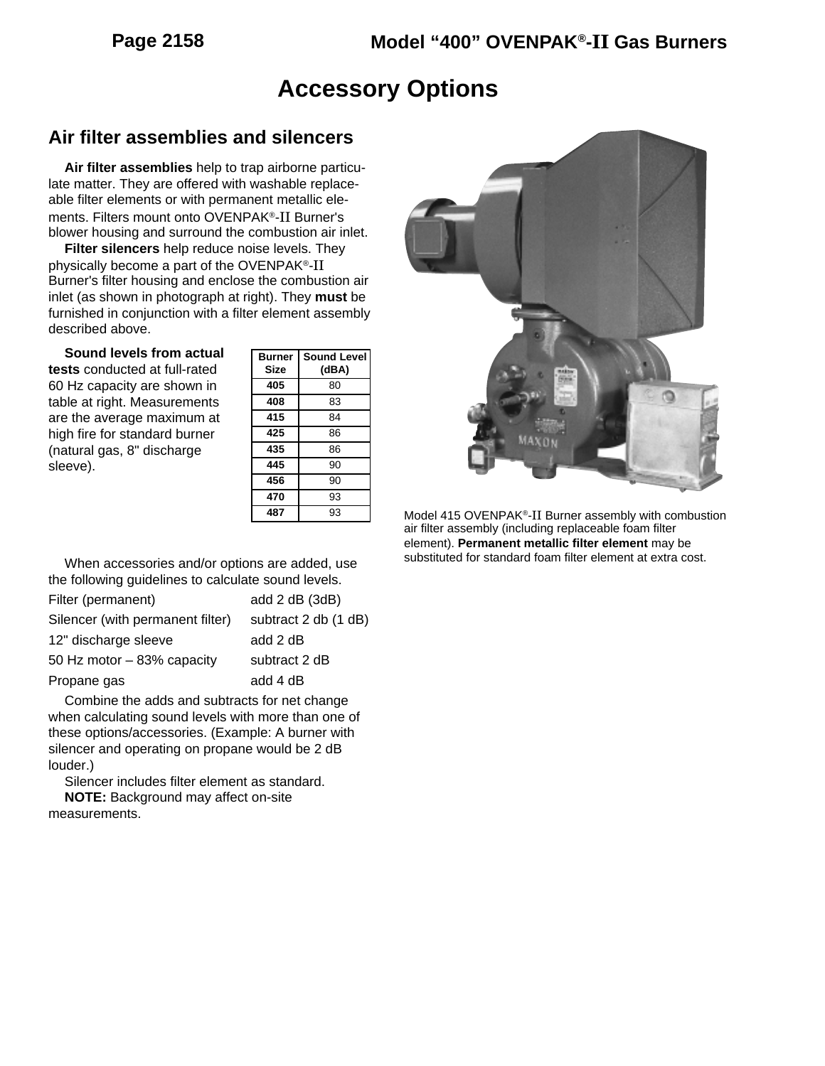# **Accessory Options**

#### **Air filter assemblies and silencers**

**Air filter assemblies** help to trap airborne particulate matter. They are offered with washable replaceable filter elements or with permanent metallic elements. Filters mount onto OVENPAK®-II Burner's blower housing and surround the combustion air inlet.

**Filter silencers** help reduce noise levels. They physically become a part of the OVENPAK®-II Burner's filter housing and enclose the combustion air inlet (as shown in photograph at right). They **must** be furnished in conjunction with a filter element assembly described above.

| Sound levels from actual      |
|-------------------------------|
| tests conducted at full-rated |
| 60 Hz capacity are shown in   |
| table at right. Measurements  |
| are the average maximum at    |
| high fire for standard burner |
| (natural gas, 8" discharge    |
| sleeve).                      |

| Burner | <b>Sound Level</b> |
|--------|--------------------|
| Size   | (dBA)              |
| 405    | 80                 |
| 408    | 83                 |
| 415    | 84                 |
| 425    | 86                 |
| 435    | 86                 |
| 445    | 90                 |
| 456    | 90                 |
| 470    | 93                 |
| 487    | 93                 |



Model 415 OVENPAK®-II Burner assembly with combustion air filter assembly (including replaceable foam filter element). **Permanent metallic filter element** may be substituted for standard foam filter element at extra cost.

When accessories and/or options are added, use the following guidelines to calculate sound levels.

| add 2 dB (3dB)       |
|----------------------|
| subtract 2 db (1 dB) |
| add 2 dB             |
| subtract 2 dB        |
| add 4 dB             |
|                      |

Combine the adds and subtracts for net change when calculating sound levels with more than one of these options/accessories. (Example: A burner with silencer and operating on propane would be 2 dB louder.)

Silencer includes filter element as standard. **NOTE:** Background may affect on-site

measurements.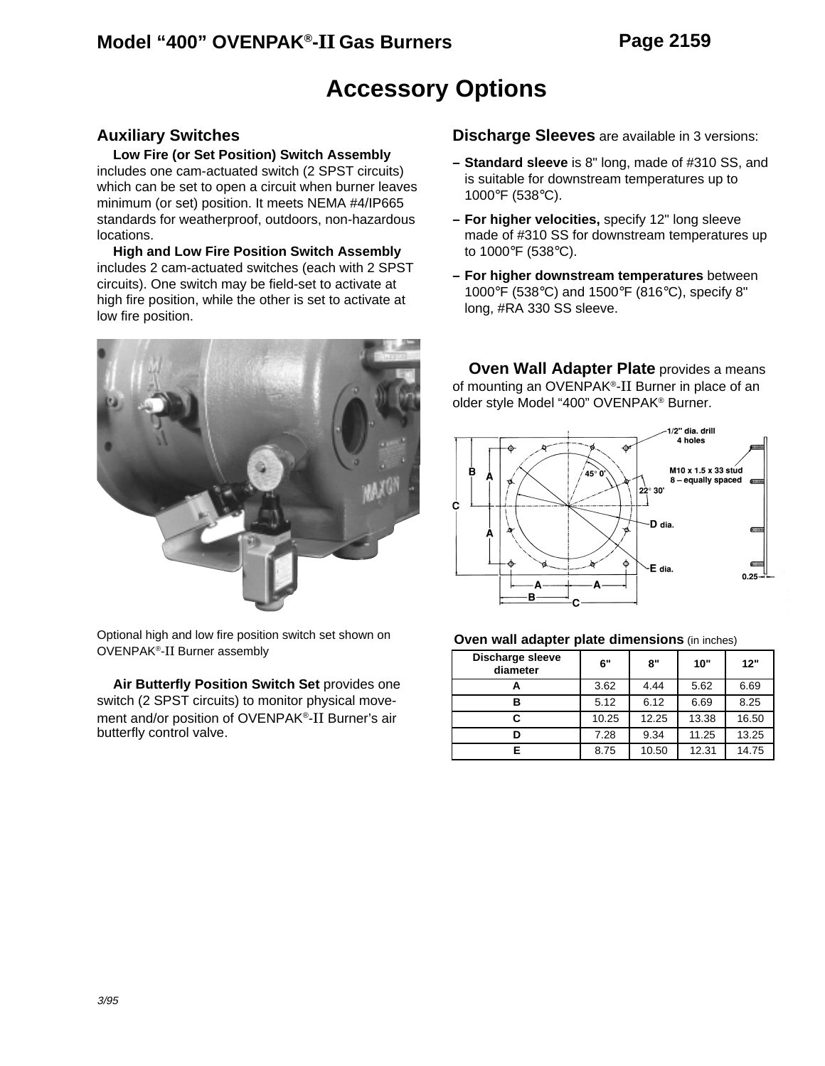### **Model "400" OVENPAK®-II Gas Burners Page 2159**

# **Accessory Options**

#### **Auxiliary Switches**

**Low Fire (or Set Position) Switch Assembly** includes one cam-actuated switch (2 SPST circuits) which can be set to open a circuit when burner leaves minimum (or set) position. It meets NEMA #4/IP665 standards for weatherproof, outdoors, non-hazardous locations.

**High and Low Fire Position Switch Assembly** includes 2 cam-actuated switches (each with 2 SPST circuits). One switch may be field-set to activate at high fire position, while the other is set to activate at low fire position.



Optional high and low fire position switch set shown on OVENPAK®-II Burner assembly

**Air Butterfly Position Switch Set** provides one switch (2 SPST circuits) to monitor physical movement and/or position of OVENPAK®-II Burner's air butterfly control valve.

**Discharge Sleeves** are available in 3 versions:

- **Standard sleeve** is 8" long, made of #310 SS, and is suitable for downstream temperatures up to 1000°F (538°C).
- **For higher velocities,** specify 12" long sleeve made of #310 SS for downstream temperatures up to 1000°F (538°C).
- **For higher downstream temperatures** between 1000°F (538°C) and 1500°F (816°C), specify 8" long, #RA 330 SS sleeve.

**Oven Wall Adapter Plate** provides a means of mounting an OVENPAK®-II Burner in place of an older style Model "400" OVENPAK® Burner.



#### **Oven wall adapter plate dimensions** (in inches)

| Discharge sleeve<br>diameter | 6"    | 8"    | 10"   | 12"   |  |
|------------------------------|-------|-------|-------|-------|--|
|                              | 3.62  | 4.44  | 5.62  | 6.69  |  |
| в                            | 5.12  | 6.12  | 6.69  | 8.25  |  |
| C.                           | 10.25 | 12.25 | 13.38 | 16.50 |  |
|                              | 7.28  | 9.34  | 11.25 | 13.25 |  |
|                              | 8.75  | 10.50 | 12.31 | 14.75 |  |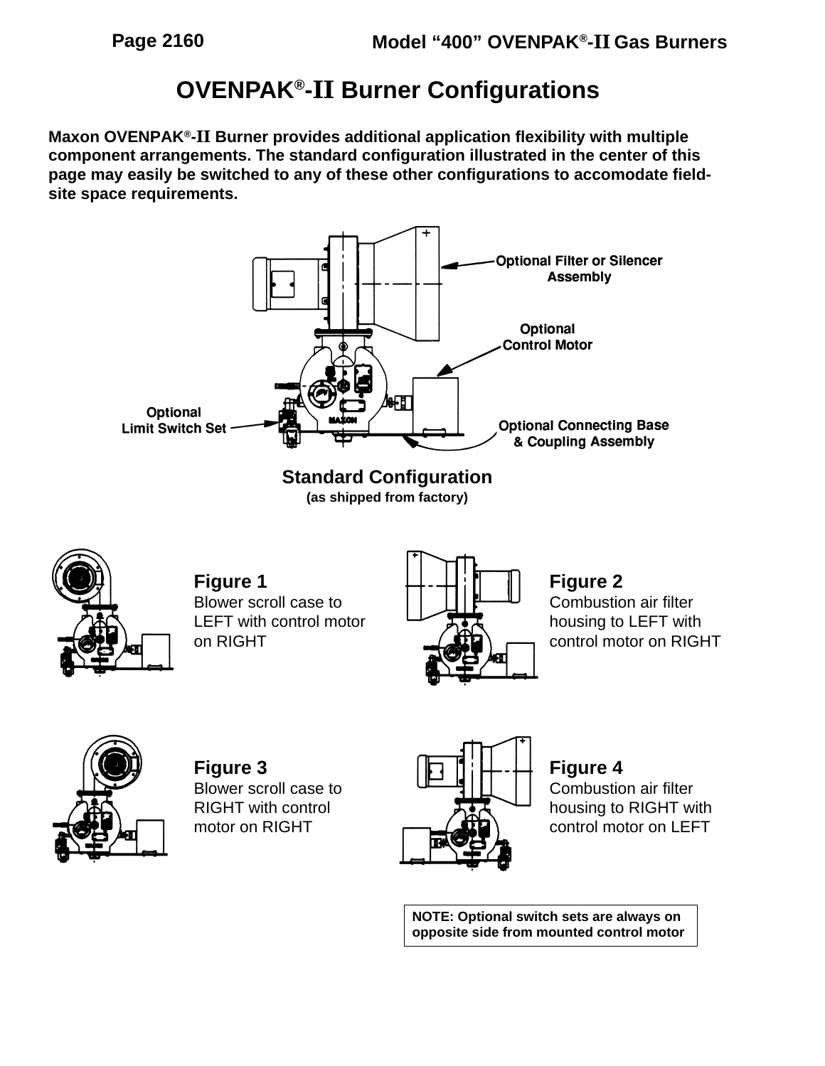# **OVENPAK®-II Burner Configurations**

**Maxon OVENPAK®-II Burner provides additional application flexibility with multiple component arrangements. The standard configuration illustrated in the center of this page may easily be switched to any of these other configurations to accomodate fieldsite space requirements.**





**Figure 1** Blower scroll case to LEFT with control motor on RIGHT



**Figure 2**

Combustion air filter housing to LEFT with control motor on RIGHT



**Figure 3** Blower scroll case to RIGHT with control motor on RIGHT



**Figure 4** Combustion air filter housing to RIGHT with control motor on LEFT

**NOTE: Optional switch sets are always on opposite side from mounted control motor**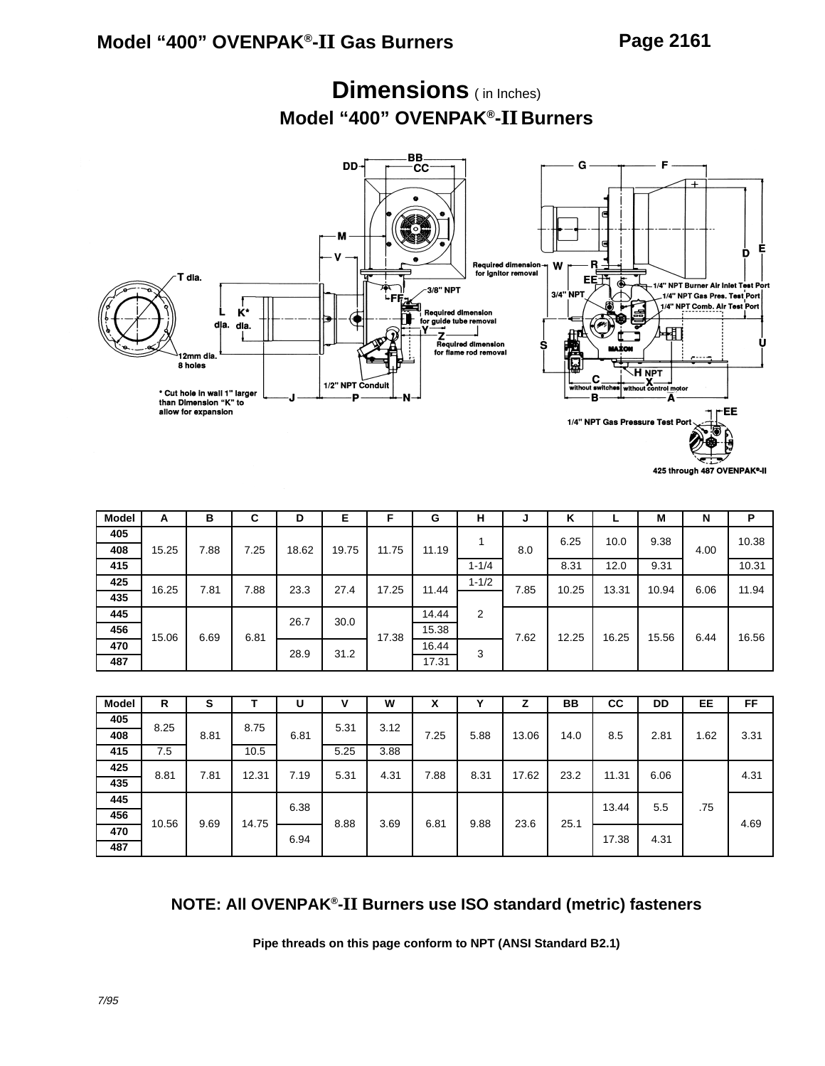### **Dimensions** ( in Inches) **Model "400" OVENPAK®-II Burners**



425 through 487 OVENPAK®-II

| <b>Model</b> | A     | в    | С    | D     | Е     | F     | G     | н         | J    | κ     |       | М     | N    | P     |
|--------------|-------|------|------|-------|-------|-------|-------|-----------|------|-------|-------|-------|------|-------|
| 405          |       |      |      |       |       |       |       |           |      | 6.25  | 10.0  | 9.38  |      | 10.38 |
| 408          | 15.25 | 7.88 | 7.25 | 18.62 | 19.75 | 11.75 | 11.19 |           | 8.0  |       |       |       | 4.00 |       |
| 415          |       |      |      |       |       |       |       | $1 - 1/4$ |      | 8.31  | 12.0  | 9.31  |      | 10.31 |
| 425          | 16.25 | 7.81 | 7.88 | 23.3  | 27.4  | 17.25 | 11.44 | $1 - 1/2$ | 7.85 | 10.25 | 13.31 | 10.94 | 6.06 | 11.94 |
| 435          |       |      |      |       |       |       |       |           |      |       |       |       |      |       |
| 445          |       |      |      | 26.7  | 30.0  |       | 14.44 | 2         |      |       |       |       |      |       |
| 456          | 15.06 | 6.69 | 6.81 |       |       | 17.38 | 15.38 |           | 7.62 | 12.25 | 16.25 | 15.56 | 6.44 | 16.56 |
| 470          |       |      |      | 28.9  | 31.2  |       | 16.44 | 3         |      |       |       |       |      |       |
| 487          |       |      |      |       |       |       | 17.31 |           |      |       |       |       |      |       |

| <b>Model</b> | R     | s    |       | U    | v    | W    | χ    | v    |       | BB   | <b>CC</b> | DD   | EE   | FF   |
|--------------|-------|------|-------|------|------|------|------|------|-------|------|-----------|------|------|------|
| 405          | 8.25  |      | 8.75  |      | 5.31 | 3.12 |      |      |       |      |           |      |      |      |
| 408          |       | 8.81 |       | 6.81 |      |      | 7.25 | 5.88 | 13.06 | 14.0 | 8.5       | 2.81 | 1.62 | 3.31 |
| 415          | 7.5   |      | 10.5  |      | 5.25 | 3.88 |      |      |       |      |           |      |      |      |
| 425          | 8.81  | 7.81 | 12.31 | 7.19 | 5.31 | 4.31 | 7.88 | 8.31 | 17.62 | 23.2 | 11.31     | 6.06 |      | 4.31 |
| 435          |       |      |       |      |      |      |      |      |       |      |           |      |      |      |
| 445          |       |      |       | 6.38 |      |      |      |      |       |      | 13.44     | 5.5  | .75  |      |
| 456          | 10.56 | 9.69 | 14.75 |      | 8.88 | 3.69 | 6.81 | 9.88 | 23.6  | 25.1 |           |      |      | 4.69 |
| 470          |       |      |       | 6.94 |      |      |      |      |       |      | 17.38     | 4.31 |      |      |
| 487          |       |      |       |      |      |      |      |      |       |      |           |      |      |      |

#### **NOTE: All OVENPAK®-II Burners use ISO standard (metric) fasteners**

**Pipe threads on this page conform to NPT (ANSI Standard B2.1)**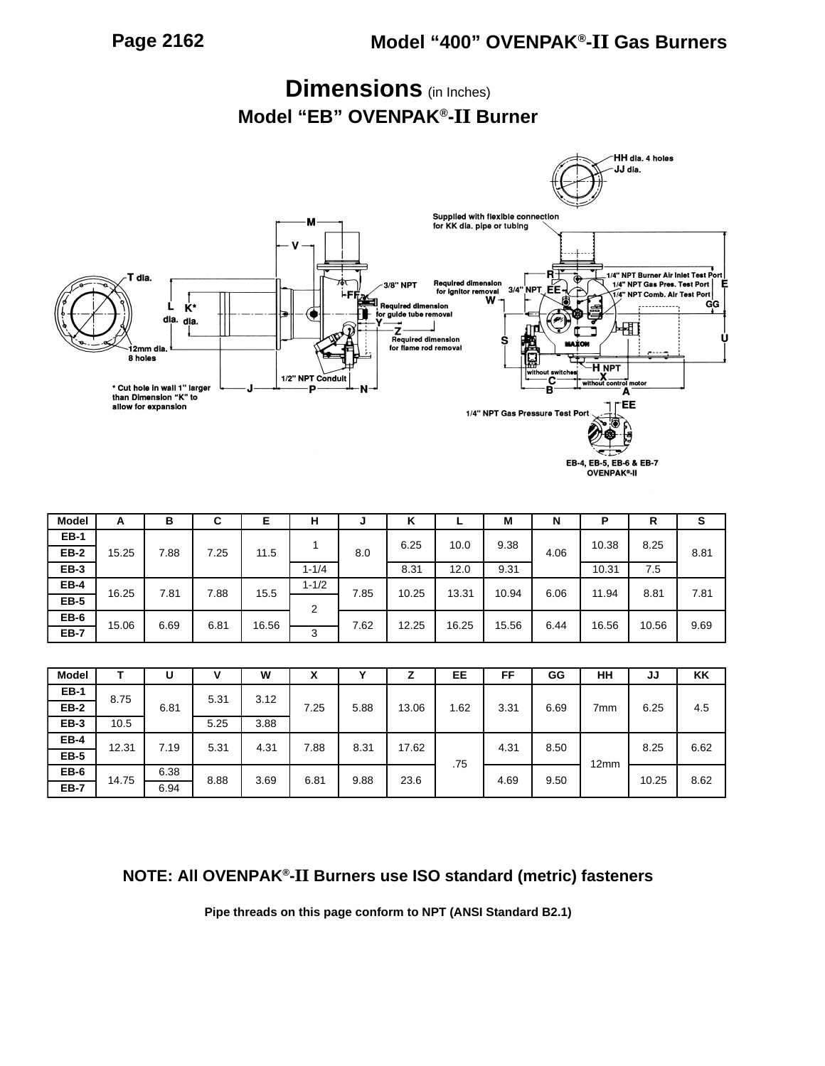

**Dimensions** (in Inches)

| <b>Model</b> | A     | в    | ⌒<br>v | E     | н         | ◡    | v<br>n |       | M     | Ν    | Р     | R     | s    |
|--------------|-------|------|--------|-------|-----------|------|--------|-------|-------|------|-------|-------|------|
| <b>EB-1</b>  |       |      |        |       |           |      | 6.25   | 10.0  | 9.38  |      | 10.38 | 8.25  |      |
| <b>EB-2</b>  | 15.25 | 7.88 | 7.25   | 11.5  |           | 8.0  |        |       |       | 4.06 |       |       | 8.81 |
| <b>EB-3</b>  |       |      |        |       | $1 - 1/4$ |      | 8.31   | 12.0  | 9.31  |      | 10.31 | 7.5   |      |
| EB-4         | 16.25 | 7.81 | 7.88   | 15.5  | $1 - 1/2$ | 7.85 | 10.25  | 13.31 | 10.94 | 6.06 | 11.94 | 8.81  | 7.81 |
| <b>EB-5</b>  |       |      |        |       | っ         |      |        |       |       |      |       |       |      |
| <b>EB-6</b>  | 15.06 | 6.69 | 6.81   | 16.56 |           | 7.62 | 12.25  | 16.25 | 15.56 | 6.44 | 16.56 | 10.56 | 9.69 |
| <b>EB-7</b>  |       |      |        |       | 3         |      |        |       |       |      |       |       |      |

| <b>Model</b> |       | υ    | v    | W    | ᄉ    |      |       | EE  | FF   | GG   | HH              | JJ    | KK   |
|--------------|-------|------|------|------|------|------|-------|-----|------|------|-----------------|-------|------|
| <b>EB-1</b>  | 8.75  |      | 5.31 | 3.12 |      |      |       |     |      |      |                 |       |      |
| <b>EB-2</b>  |       | 6.81 |      |      | 7.25 | 5.88 | 13.06 | .62 | 3.31 | 6.69 | 7 <sub>mm</sub> | 6.25  | 4.5  |
| <b>EB-3</b>  | 10.5  |      | 5.25 | 3.88 |      |      |       |     |      |      |                 |       |      |
| <b>EB-4</b>  | 12.31 | 7.19 | 5.31 | 4.31 | 7.88 | 8.31 | 17.62 |     | 4.31 | 8.50 |                 | 8.25  | 6.62 |
| <b>EB-5</b>  |       |      |      |      |      |      |       | .75 |      |      | 12mm            |       |      |
| <b>EB-6</b>  | 14.75 | 6.38 | 8.88 | 3.69 | 6.81 | 9.88 | 23.6  |     | 4.69 | 9.50 |                 | 10.25 | 8.62 |
| <b>EB-7</b>  |       | 6.94 |      |      |      |      |       |     |      |      |                 |       |      |

#### **NOTE: All OVENPAK®-II Burners use ISO standard (metric) fasteners**

**Pipe threads on this page conform to NPT (ANSI Standard B2.1)**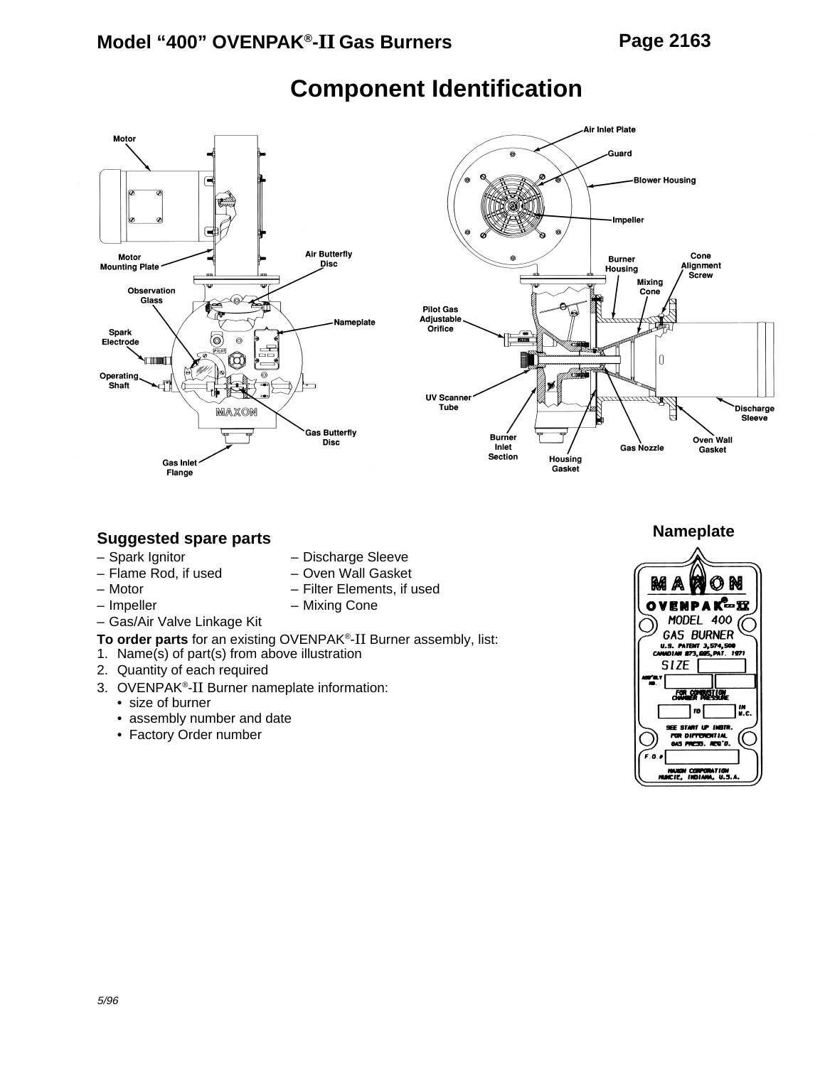

# **Component Identification**



#### **Suggested spare parts**

- Spark Ignitor Discharge Sleeve
- Flame Rod, if used Oven Wall Gasket
- 
- 
- Impeller Mixing Cone
- Gas/Air Valve Linkage Kit
- **To order parts** for an existing OVENPAK®-II Burner assembly, list:
- 1. Name(s) of part(s) from above illustration
- 2. Quantity of each required
- 3. OVENPAK®-II Burner nameplate information:
	- size of burner
	- assembly number and date
	- Factory Order number
- 
- Motor Filter Elements, if used
	-